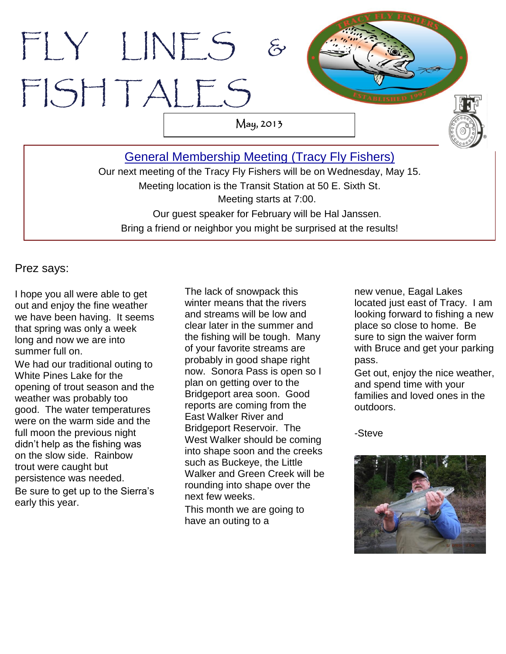# [General Membership Meeting](http://www.tracyflyfishers.org/Home/current-activities) (Tracy Fly Fishers) FLY LINES & FISH TALES May, 2013

Our next meeting of the Tracy Fly Fishers will be on Wednesday, May 15. Meeting location is the Transit Station at 50 E. Sixth St. Meeting starts at 7:00. Our guest speaker for February will be Hal Janssen. Bring a friend or neighbor you might be surprised at the results!

Prez says:

I hope you all were able to get out and enjoy the fine weather we have been having. It seems that spring was only a week long and now we are into summer full on.

We had our traditional outing to White Pines Lake for the opening of trout season and the weather was probably too good. The water temperatures were on the warm side and the full moon the previous night didn't help as the fishing was on the slow side. Rainbow trout were caught but persistence was needed. Be sure to get up to the Sierra's early this year.

The lack of snowpack this winter means that the rivers and streams will be low and clear later in the summer and the fishing will be tough. Many of your favorite streams are probably in good shape right now. Sonora Pass is open so I plan on getting over to the Bridgeport area soon. Good reports are coming from the East Walker River and Bridgeport Reservoir. The West Walker should be coming into shape soon and the creeks such as Buckeye, the Little Walker and Green Creek will be rounding into shape over the next few weeks.

This month we are going to have an outing to a

new venue, Eagal Lakes located just east of Tracy. I am looking forward to fishing a new place so close to home. Be sure to sign the waiver form with Bruce and get your parking pass.

Get out, enjoy the nice weather, and spend time with your families and loved ones in the outdoors.

-Steve

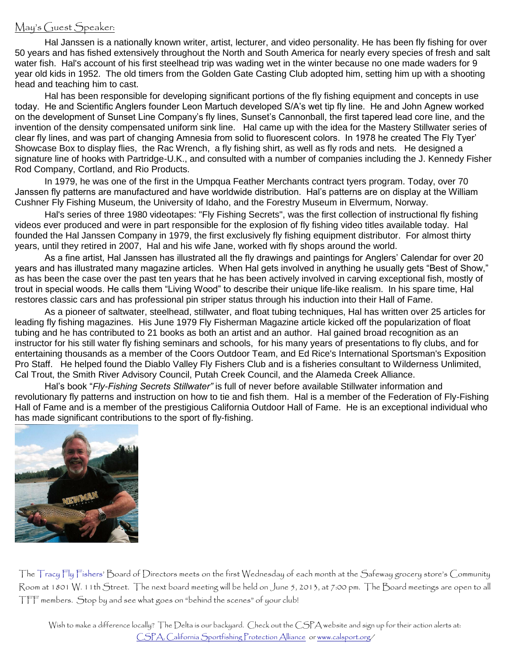#### May's Guest Speaker:

Hal Janssen is a nationally known writer, artist, lecturer, and video personality. He has been fly fishing for over 50 years and has fished extensively throughout the North and South America for nearly every species of fresh and salt water fish. Hal's account of his first steelhead trip was wading wet in the winter because no one made waders for 9 year old kids in 1952. The old timers from the Golden Gate Casting Club adopted him, setting him up with a shooting head and teaching him to cast.

Hal has been responsible for developing significant portions of the fly fishing equipment and concepts in use today. He and Scientific Anglers founder Leon Martuch developed S/A's wet tip fly line. He and John Agnew worked on the development of Sunset Line Company's fly lines, Sunset's Cannonball, the first tapered lead core line, and the invention of the density compensated uniform sink line. Hal came up with the idea for the Mastery Stillwater series of clear fly lines, and was part of changing Amnesia from solid to fluorescent colors. In 1978 he created The Fly Tyer' Showcase Box to display flies, the Rac Wrench, a fly fishing shirt, as well as fly rods and nets. He designed a signature line of hooks with Partridge-U.K., and consulted with a number of companies including the J. Kennedy Fisher Rod Company, Cortland, and Rio Products.

In 1979, he was one of the first in the Umpqua Feather Merchants contract tyers program. Today, over 70 Janssen fly patterns are manufactured and have worldwide distribution. Hal's patterns are on display at the William Cushner Fly Fishing Museum, the University of Idaho, and the Forestry Museum in Elvermum, Norway.

Hal's series of three 1980 videotapes: "Fly Fishing Secrets", was the first collection of instructional fly fishing videos ever produced and were in part responsible for the explosion of fly fishing video titles available today. Hal founded the Hal Janssen Company in 1979, the first exclusively fly fishing equipment distributor. For almost thirty years, until they retired in 2007, Hal and his wife Jane, worked with fly shops around the world.

As a fine artist, Hal Janssen has illustrated all the fly drawings and paintings for Anglers' Calendar for over 20 years and has illustrated many magazine articles. When Hal gets involved in anything he usually gets "Best of Show," as has been the case over the past ten years that he has been actively involved in carving exceptional fish, mostly of trout in special woods. He calls them "Living Wood" to describe their unique life-like realism. In his spare time, Hal restores classic cars and has professional pin striper status through his induction into their Hall of Fame.

As a pioneer of saltwater, steelhead, stillwater, and float tubing techniques, Hal has written over 25 articles for leading fly fishing magazines. His June 1979 Fly Fisherman Magazine article kicked off the popularization of float tubing and he has contributed to 21 books as both an artist and an author. Hal gained broad recognition as an instructor for his still water fly fishing seminars and schools, for his many years of presentations to fly clubs, and for entertaining thousands as a member of the Coors Outdoor Team, and Ed Rice's International Sportsman's Exposition Pro Staff. He helped found the Diablo Valley Fly Fishers Club and is a fisheries consultant to Wilderness Unlimited, Cal Trout, the Smith River Advisory Council, Putah Creek Council, and the Alameda Creek Alliance.

Hal's book "*Fly-Fishing Secrets Stillwater"* is full of never before available Stillwater information and revolutionary fly patterns and instruction on how to tie and fish them. Hal is a member of the Federation of Fly-Fishing Hall of Fame and is a member of the prestigious California Outdoor Hall of Fame. He is an exceptional individual who has made significant contributions to the sport of fly-fishing.



The Tracy Fly Fishers' Board of Directors meets on the first Wednesday of each month at the Safeway grocery store's Community Room at 1801 W. 11th Street. The next board meeting will be held on June 5, 2013, at 7:00 pm. The Board meetings are open to all TFF members. Stop by and see what goes on "behind the scenes" of your club!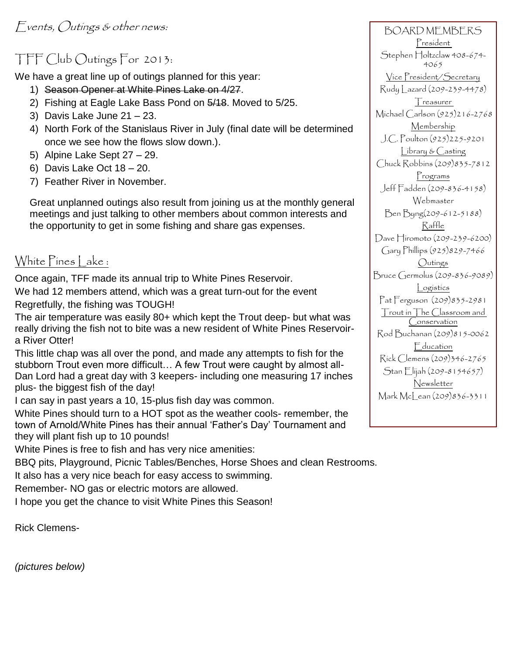## TFF Club Outings For 2013:

We have a great line up of outings planned for this year:

- 1) Season Opener at White Pines Lake on 4/27.
- 2) Fishing at Eagle Lake Bass Pond on 5/18. Moved to 5/25.
- 3) Davis Lake June 21 23.
- 4) North Fork of the Stanislaus River in July (final date will be determined once we see how the flows slow down.).
- 5) Alpine Lake Sept 27 29.
- 6) Davis Lake Oct 18 20.
- 7) Feather River in November.

Great unplanned outings also result from joining us at the monthly general meetings and just talking to other members about common interests and the opportunity to get in some fishing and share gas expenses.

## White Pines Lake :

Once again, TFF made its annual trip to White Pines Reservoir. We had 12 members attend, which was a great turn-out for the event

Regretfully, the fishing was TOUGH!

The air temperature was easily 80+ which kept the Trout deep- but what was really driving the fish not to bite was a new resident of White Pines Reservoira River Otter!

This little chap was all over the pond, and made any attempts to fish for the stubborn Trout even more difficult… A few Trout were caught by almost all-Dan Lord had a great day with 3 keepers- including one measuring 17 inches plus- the biggest fish of the day!

I can say in past years a 10, 15-plus fish day was common.

White Pines should turn to a HOT spot as the weather cools- remember, the town of Arnold/White Pines has their annual 'Father's Day' Tournament and they will plant fish up to 10 pounds!

White Pines is free to fish and has very nice amenities:

BBQ pits, Playground, Picnic Tables/Benches, Horse Shoes and clean Restrooms.

It also has a very nice beach for easy access to swimming.

Remember- NO gas or electric motors are allowed.

I hope you get the chance to visit White Pines this Season!

Rick Clemens-

BOARD MEMBERS President Stephen Holtzclaw 408-674-4065 Vice President/Secretary Rudy Lazard (209-239-4478) Treasurer Michael Carlson (925)216-2768 Membership J.C. Poulton (925)225-9201 Library & Casting Chuck Robbins (209)835-7812 Programs Jeff Fadden (209-836-4158) Webmaster Ben Byng(209-612-5188) Raffle Dave Hiromoto (209-239-6200) Gary Phillips (925)829-7466 Outings Bruce Germolus (209-836-9089) Logistics Pat Ferguson (209)835-2981 Trout in The Classroom and Conservation Rod Buchanan (209)815-0062 **E**ducation Rick Clemens (209)346-2765 Stan Elijah (209-8154657) Newsletter Mark McLean (209) 836-3311

*(pictures below)*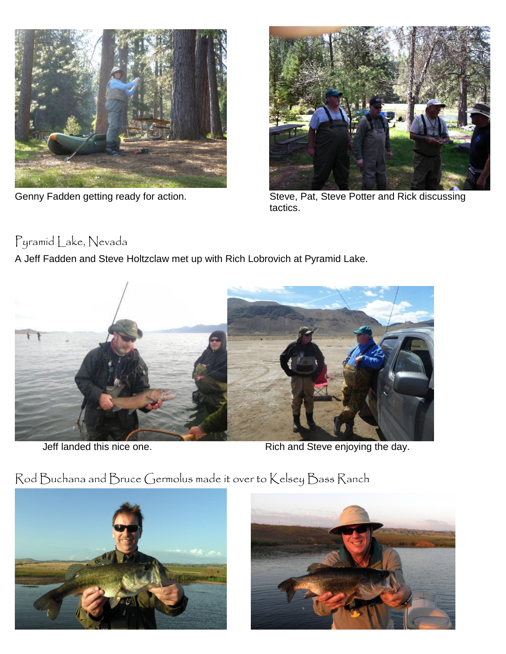



Genny Fadden getting ready for action. Steve, Pat, Steve Potter and Rick discussing tactics.

## Pyramid Lake, Nevada

A Jeff Fadden and Steve Holtzclaw met up with Rich Lobrovich at Pyramid Lake.



Jeff landed this nice one. Rich and Steve enjoying the day.





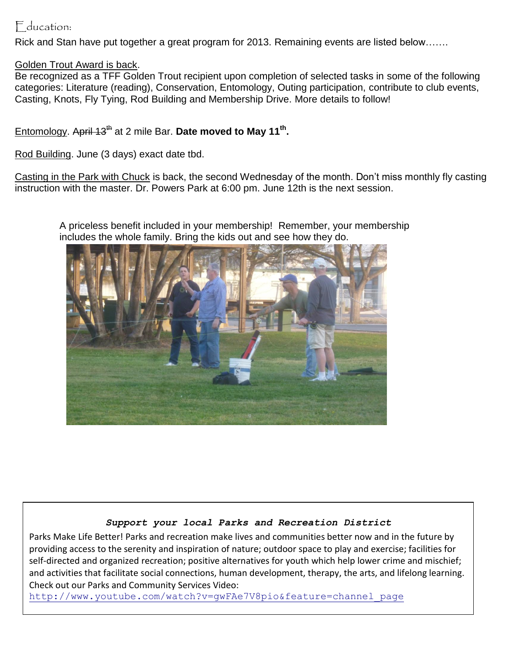### Education:

Rick and Stan have put together a great program for 2013. Remaining events are listed below…….

#### Golden Trout Award is back.

Be recognized as a TFF Golden Trout recipient upon completion of selected tasks in some of the following categories: Literature (reading), Conservation, Entomology, Outing participation, contribute to club events, Casting, Knots, Fly Tying, Rod Building and Membership Drive. More details to follow!

#### Entomology. April 13<sup>th</sup> at 2 mile Bar. Date moved to May 11<sup>th</sup>.

Rod Building. June (3 days) exact date tbd.

Casting in the Park with Chuck is back, the second Wednesday of the month. Don't miss monthly fly casting instruction with the master. Dr. Powers Park at 6:00 pm. June 12th is the next session.

A priceless benefit included in your membership! Remember, your membership includes the whole family. Bring the kids out and see how they do.



#### *Support your local Parks and Recreation District*

Parks Make Life Better! Parks and recreation make lives and communities better now and in the future by providing access to the serenity and inspiration of nature; outdoor space to play and exercise; facilities for self-directed and organized recreation; positive alternatives for youth which help lower crime and mischief; and activities that facilitate social connections, human development, therapy, the arts, and lifelong learning. Check out our Parks and Community Services Video:

[http://www.youtube.com/watch?v=gwFAe7V8pio&feature=channel\\_page](http://www.youtube.com/watch?v=gwFAe7V8pio&feature=channel_page)